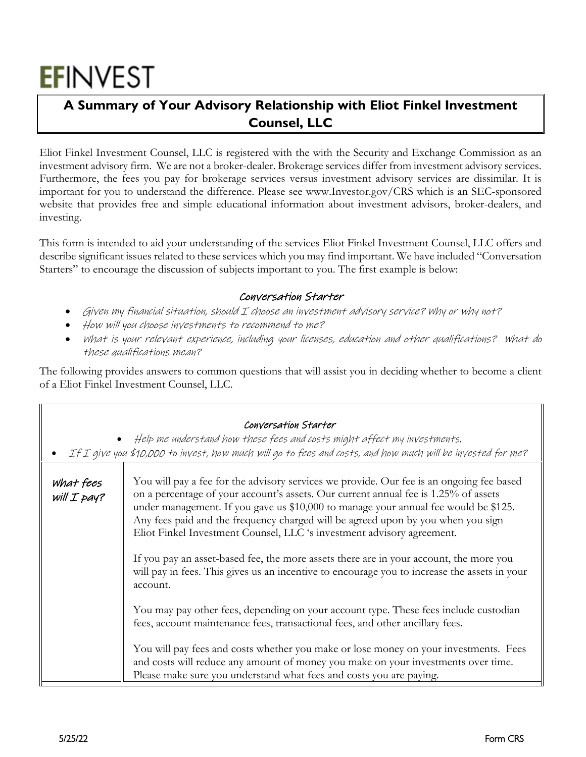# **EFINVEST**

## **A Summary of Your Advisory Relationship with Eliot Finkel Investment Counsel, LLC**

Eliot Finkel Investment Counsel, LLC is registered with the with the Security and Exchange Commission as an investment advisory firm. We are not a broker-dealer. Brokerage services differ from investment advisory services. Furthermore, the fees you pay for brokerage services versus investment advisory services are dissimilar. It is important for you to understand the difference. Please see www.Investor.gov/CRS which is an SEC-sponsored website that provides free and simple educational information about investment advisors, broker-dealers, and investing.

This form is intended to aid your understanding of the services Eliot Finkel Investment Counsel, LLC offers and describe significant issues related to these services which you may find important. We have included "Conversation Starters" to encourage the discussion of subjects important to you. The first example is below:

#### Conversation Starter

- Given my financial situation, should I choose an investment advisory service? Why or why not?
- How will you choose investments to recommend to me?
- What is your relevant experience, including your licenses, education and other qualifications? What do these qualifications mean?

The following provides answers to common questions that will assist you in deciding whether to become a client of a Eliot Finkel Investment Counsel, LLC.

|                            | Conversation Starter<br>Help me understand how these fees and costs might affect my investments.<br>If I give you \$10,000 to invest, how much will go to fees and costs, and how much will be invested for me?                                                                                                                                                                                                                      |
|----------------------------|--------------------------------------------------------------------------------------------------------------------------------------------------------------------------------------------------------------------------------------------------------------------------------------------------------------------------------------------------------------------------------------------------------------------------------------|
| what fees<br>will $I$ pay? | You will pay a fee for the advisory services we provide. Our fee is an ongoing fee based<br>on a percentage of your account's assets. Our current annual fee is 1.25% of assets<br>under management. If you gave us \$10,000 to manage your annual fee would be \$125.<br>Any fees paid and the frequency charged will be agreed upon by you when you sign<br>Eliot Finkel Investment Counsel, LLC 's investment advisory agreement. |
|                            | If you pay an asset-based fee, the more assets there are in your account, the more you<br>will pay in fees. This gives us an incentive to encourage you to increase the assets in your<br>account.                                                                                                                                                                                                                                   |
|                            | You may pay other fees, depending on your account type. These fees include custodian<br>fees, account maintenance fees, transactional fees, and other ancillary fees.                                                                                                                                                                                                                                                                |
|                            | You will pay fees and costs whether you make or lose money on your investments. Fees<br>and costs will reduce any amount of money you make on your investments over time.<br>Please make sure you understand what fees and costs you are paying.                                                                                                                                                                                     |